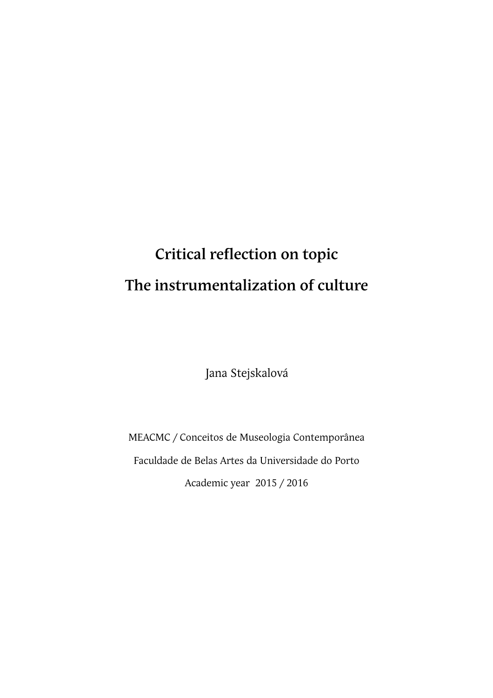# **Critical reflection on topic The instrumentalization of culture**

Jana Stejskalová

MEACMC / Conceitos de Museologia Contemporânea Faculdade de Belas Artes da Universidade do Porto Academic year 2015 / 2016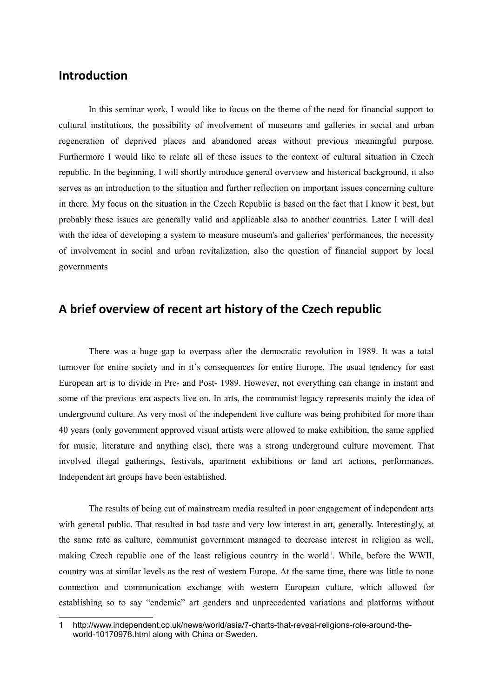#### **Introduction**

In this seminar work, I would like to focus on the theme of the need for financial support to cultural institutions, the possibility of involvement of museums and galleries in social and urban regeneration of deprived places and abandoned areas without previous meaningful purpose. Furthermore I would like to relate all of these issues to the context of cultural situation in Czech republic. In the beginning, I will shortly introduce general overview and historical background, it also serves as an introduction to the situation and further reflection on important issues concerning culture in there. My focus on the situation in the Czech Republic is based on the fact that I know it best, but probably these issues are generally valid and applicable also to another countries. Later I will deal with the idea of developing a system to measure museum's and galleries' performances, the necessity of involvement in social and urban revitalization, also the question of financial support by local governments

#### **A brief overview of recent art history of the Czech republic**

There was a huge gap to overpass after the democratic revolution in 1989. It was a total turnover for entire society and in it´s consequences for entire Europe. The usual tendency for east European art is to divide in Pre- and Post- 1989. However, not everything can change in instant and some of the previous era aspects live on. In arts, the communist legacy represents mainly the idea of underground culture. As very most of the independent live culture was being prohibited for more than 40 years (only government approved visual artists were allowed to make exhibition, the same applied for music, literature and anything else), there was a strong underground culture movement. That involved illegal gatherings, festivals, apartment exhibitions or land art actions, performances. Independent art groups have been established.

The results of being cut of mainstream media resulted in poor engagement of independent arts with general public. That resulted in bad taste and very low interest in art, generally. Interestingly, at the same rate as culture, communist government managed to decrease interest in religion as well, making Czech republic one of the least religious country in the world<sup>[1](#page-1-0)</sup>. While, before the WWII, country was at similar levels as the rest of western Europe. At the same time, there was little to none connection and communication exchange with western European culture, which allowed for establishing so to say "endemic" art genders and unprecedented variations and platforms without

<span id="page-1-0"></span><sup>1</sup> http://www.independent.co.uk/news/world/asia/7-charts-that-reveal-religions-role-around-theworld-10170978.html along with China or Sweden.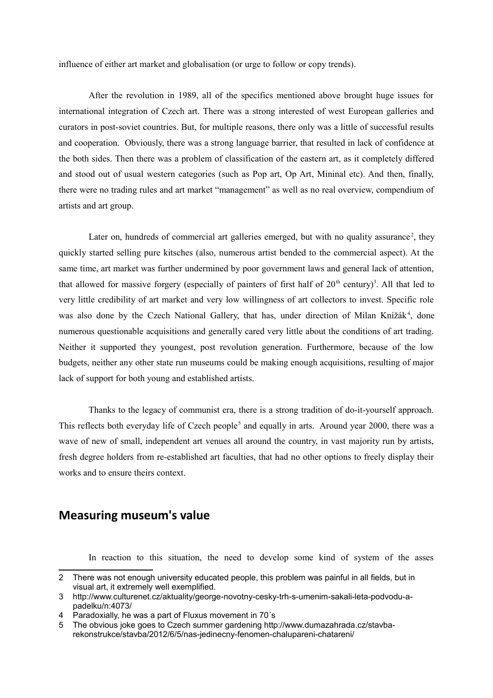influence of either art market and globalisation (or urge to follow or copy trends).

After the revolution in 1989, all of the specifics mentioned above brought huge issues for international integration of Czech art. There was a strong interested of west European galleries and curators in post-soviet countries. But, for multiple reasons, there only was a little of successful results and cooperation. Obviously, there was a strong language barrier, that resulted in lack of confidence at the both sides. Then there was a problem of classification of the eastern art, as it completely differed and stood out of usual western categories (such as Pop art, Op Art, Mininal etc). And then, finally, there were no trading rules and art market "management" as well as no real overview, compendium of artists and art group.

Later on, hundreds of commercial art galleries emerged, but with no quality assurance<sup>[2](#page-2-0)</sup>, they quickly started selling pure kitsches (also, numerous artist bended to the commercial aspect). At the same time, art market was further undermined by poor government laws and general lack of attention, that allowed for massive forgery (especially of painters of first half of  $20<sup>th</sup>$  century)<sup>[3](#page-2-1)</sup>. All that led to very little credibility of art market and very low willingness of art collectors to invest. Specific role was also done by the Czech National Gallery, that has, under direction of Milan Knížák<sup>[4](#page-2-2)</sup>, done numerous questionable acquisitions and generally cared very little about the conditions of art trading. Neither it supported they youngest, post revolution generation. Furthermore, because of the low budgets, neither any other state run museums could be making enough acquisitions, resulting of major lack of support for both young and established artists.

Thanks to the legacy of communist era, there is a strong tradition of do-it-yourself approach. This reflects both everyday life of Czech people<sup>[5](#page-2-3)</sup> and equally in arts. Around year 2000, there was a wave of new of small, independent art venues all around the country, in vast majority run by artists, fresh degree holders from re-established art faculties, that had no other options to freely display their works and to ensure theirs context.

#### **Measuring museum's value**

In reaction to this situation, the need to develop some kind of system of the asses

<span id="page-2-0"></span><sup>2</sup> There was not enough university educated people, this problem was painful in all fields, but in visual art, it extremely well exemplified.

<span id="page-2-1"></span><sup>3</sup> http://www.culturenet.cz/aktuality/george-novotny-cesky-trh-s-umenim-sakali-leta-podvodu-apadelku/n:4073/

<span id="page-2-2"></span><sup>4</sup> Paradoxially, he was a part of Fluxus movement in 70´s

<span id="page-2-3"></span><sup>5</sup> The obvious joke goes to Czech summer gardening http://www.dumazahrada.cz/stavbarekonstrukce/stavba/2012/6/5/nas-jedinecny-fenomen-chalupareni-chatareni/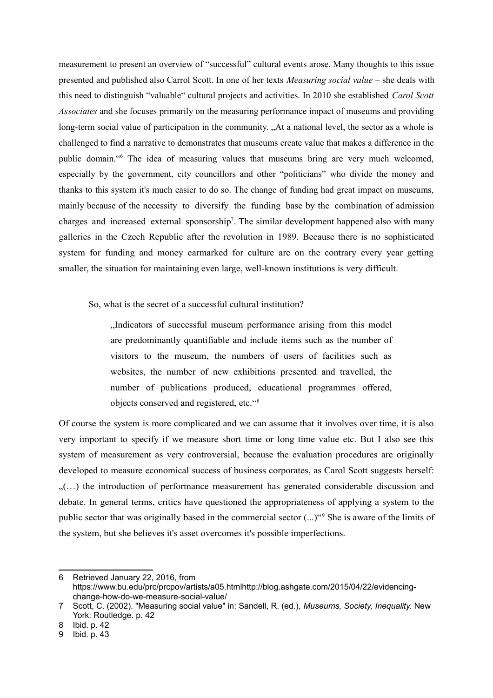measurement to present an overview of "successful" cultural events arose. Many thoughts to this issue presented and published also Carrol Scott. In one of her texts *Measuring social value* – she deals with this need to distinguish "valuable" cultural projects and activities. In 2010 she established *Carol Scott Associates* and she focuses primarily on the measuring performance impact of museums and providing long-term social value of participation in the community. "At a national level, the sector as a whole is challenged to find a narrative to demonstrates that museums create value that makes a difference in the public domain."<sup>[6](#page-3-0)</sup> The idea of measuring values that museums bring are very much welcomed, especially by the government, city councillors and other "politicians" who divide the money and thanks to this system it's much easier to do so. The change of funding had great impact on museums, mainly because of the necessity to diversify the funding base by the combination of admission charges and increased external sponsorship<sup>[7](#page-3-1)</sup>. The similar development happened also with many galleries in the Czech Republic after the revolution in 1989. Because there is no sophisticated system for funding and money earmarked for culture are on the contrary every year getting smaller, the situation for maintaining even large, well-known institutions is very difficult.

So, what is the secret of a successful cultural institution?

"Indicators of successful museum performance arising from this model are predominantly quantifiable and include items such as the number of visitors to the museum, the numbers of users of facilities such as websites, the number of new exhibitions presented and travelled, the number of publications produced, educational programmes offered, objects conserved and registered, etc."[8](#page-3-2)

Of course the system is more complicated and we can assume that it involves over time, it is also very important to specify if we measure short time or long time value etc. But I also see this system of measurement as very controversial, because the evaluation procedures are originally developed to measure economical success of business corporates, as Carol Scott suggests herself:  $\ldots$ ) the introduction of performance measurement has generated considerable discussion and debate. In general terms, critics have questioned the appropriateness of applying a system to the public sector that was originally based in the commercial sector  $(\ldots)^{0}$  She is aware of the limits of the system, but she believes it's asset overcomes it's possible imperfections.

<span id="page-3-0"></span><sup>6</sup> Retrieved January 22, 2016, from https://www.bu.edu/prc/prcpov/artists/a05.htmlhttp://blog.ashgate.com/2015/04/22/evidencingchange-how-do-we-measure-social-value/

<span id="page-3-1"></span><sup>7</sup> Scott, C. (2002). "Measuring social value" in: Sandell, R. (ed.), *Museums, Society, Inequality*. New York: Routledge. p. 42

<span id="page-3-2"></span><sup>8</sup> Ibid. p. 42

<span id="page-3-3"></span><sup>9</sup> Ibid. p. 43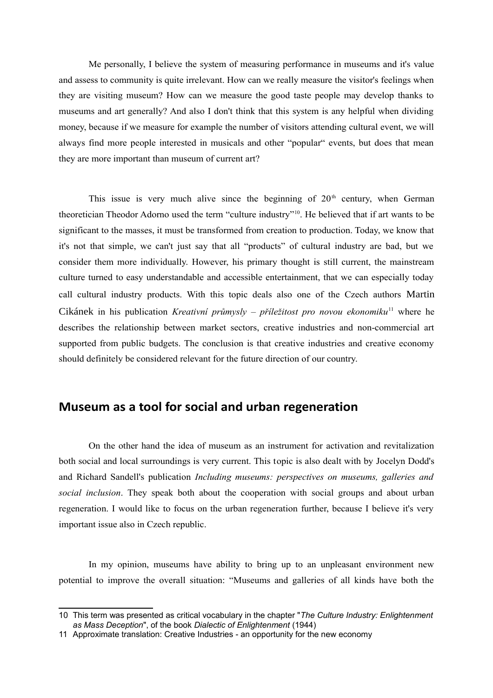Me personally, I believe the system of measuring performance in museums and it's value and assess to community is quite irrelevant. How can we really measure the visitor's feelings when they are visiting museum? How can we measure the good taste people may develop thanks to museums and art generally? And also I don't think that this system is any helpful when dividing money, because if we measure for example the number of visitors attending cultural event, we will always find more people interested in musicals and other "popular" events, but does that mean they are more important than museum of current art?

This issue is very much alive since the beginning of  $20<sup>th</sup>$  century, when German theoretician Theodor Adorno used the term "culture industry"[10](#page-4-0). He believed that if art wants to be significant to the masses, it must be transformed from creation to production. Today, we know that it's not that simple, we can't just say that all "products" of cultural industry are bad, but we consider them more individually. However, his primary thought is still current, the mainstream culture turned to easy understandable and accessible entertainment, that we can especially today call cultural industry products. With this topic deals also one of the Czech authors Martin Cikánek in his publication *Kreativní průmysly – příležitost pro novou ekonomiku*[11](#page-4-1) where he describes the relationship between market sectors, creative industries and non-commercial art supported from public budgets. The conclusion is that creative industries and creative economy should definitely be considered relevant for the future direction of our country.

## **Museum as a tool for social and urban regeneration**

On the other hand the idea of museum as an instrument for activation and revitalization both social and local surroundings is very current. This topic is also dealt with by Jocelyn Dodd's and Richard Sandell's publication *Including museums: perspectives on museums, galleries and social inclusion*. They speak both about the cooperation with social groups and about urban regeneration. I would like to focus on the urban regeneration further, because I believe it's very important issue also in Czech republic.

In my opinion, museums have ability to bring up to an unpleasant environment new potential to improve the overall situation: "Museums and galleries of all kinds have both the

<span id="page-4-0"></span><sup>10</sup> This term was presented as critical vocabulary in the chapter "*The Culture Industry: Enlightenment as Mass Deception*", of the book *Dialectic of Enlightenment* (1944)

<span id="page-4-1"></span><sup>11</sup> Approximate translation: Creative Industries - an opportunity for the new economy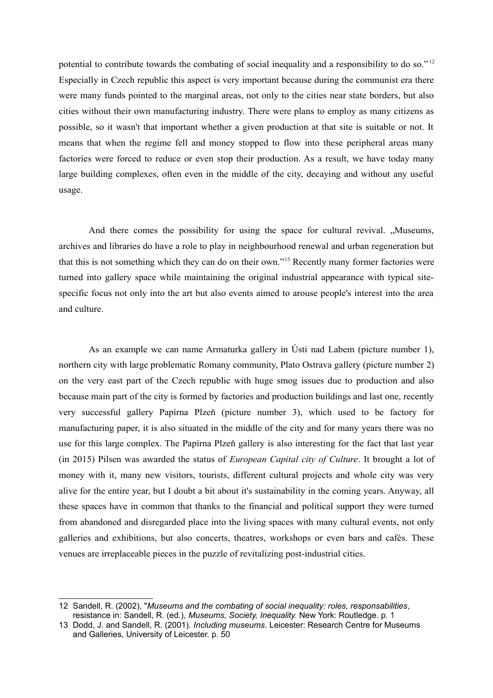potential to contribute towards the combating of social inequality and a responsibility to do so." [12](#page-5-0) Especially in Czech republic this aspect is very important because during the communist era there were many funds pointed to the marginal areas, not only to the cities near state borders, but also cities without their own manufacturing industry. There were plans to employ as many citizens as possible, so it wasn't that important whether a given production at that site is suitable or not. It means that when the regime fell and money stopped to flow into these peripheral areas many factories were forced to reduce or even stop their production. As a result, we have today many large building complexes, often even in the middle of the city, decaying and without any useful usage.

And there comes the possibility for using the space for cultural revival. "Museums, archives and libraries do have a role to play in neighbourhood renewal and urban regeneration but that this is not something which they can do on their own."[13](#page-5-1) Recently many former factories were turned into gallery space while maintaining the original industrial appearance with typical sitespecific focus not only into the art but also events aimed to arouse people's interest into the area and culture.

As an example we can name Armaturka gallery in Ústi nad Labem (picture number 1), northern city with large problematic Romany community, Plato Ostrava gallery (picture number 2) on the very east part of the Czech republic with huge smog issues due to production and also because main part of the city is formed by factories and production buildings and last one, recently very successful gallery Papírna Plzeň (picture number 3), which used to be factory for manufacturing paper, it is also situated in the middle of the city and for many years there was no use for this large complex. The Papírna Plzeň gallery is also interesting for the fact that last year (in 2015) Pilsen was awarded the status of *European Capital city of Culture*. It brought a lot of money with it, many new visitors, tourists, different cultural projects and whole city was very alive for the entire year, but I doubt a bit about it's sustainability in the coming years. Anyway, all these spaces have in common that thanks to the financial and political support they were turned from abandoned and disregarded place into the living spaces with many cultural events, not only galleries and exhibitions, but also concerts, theatres, workshops or even bars and cafés. These venues are irreplaceable pieces in the puzzle of revitalizing post-industrial cities.

<span id="page-5-0"></span><sup>12</sup> Sandell, R. (2002), "*Museums and the combating of social inequality: roles, responsabilities*, resistance in: Sandell, R. (ed.), *Museums, Society, Inequality*. New York: Routledge. p. 1

<span id="page-5-1"></span><sup>13</sup> Dodd, J. and Sandell, R. (2001). *Including museums*. Leicester: Research Centre for Museums and Galleries, University of Leicester. p. 50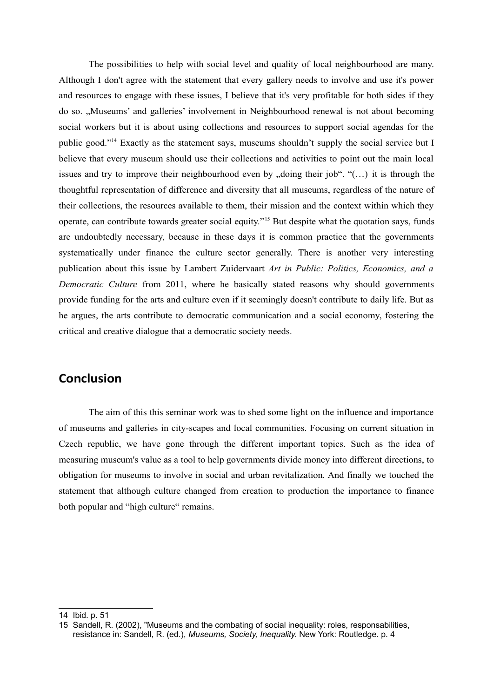The possibilities to help with social level and quality of local neighbourhood are many. Although I don't agree with the statement that every gallery needs to involve and use it's power and resources to engage with these issues, I believe that it's very profitable for both sides if they do so. "Museums' and galleries' involvement in Neighbourhood renewal is not about becoming social workers but it is about using collections and resources to support social agendas for the public good."[14](#page-6-0) Exactly as the statement says, museums shouldn't supply the social service but I believe that every museum should use their collections and activities to point out the main local issues and try to improve their neighbourhood even by "doing their job". " $(...)$  it is through the thoughtful representation of difference and diversity that all museums, regardless of the nature of their collections, the resources available to them, their mission and the context within which they operate, can contribute towards greater social equity."[15](#page-6-1) But despite what the quotation says, funds are undoubtedly necessary, because in these days it is common practice that the governments systematically under finance the culture sector generally. There is another very interesting publication about this issue by Lambert Zuidervaart *Art in Public: Politics, Economics, and a Democratic Culture* from 2011, where he basically stated reasons why should governments provide funding for the arts and culture even if it seemingly doesn't contribute to daily life. But as he argues, the arts contribute to democratic communication and a social economy, fostering the critical and creative dialogue that a democratic society needs.

### **Conclusion**

The aim of this this seminar work was to shed some light on the influence and importance of museums and galleries in city-scapes and local communities. Focusing on current situation in Czech republic, we have gone through the different important topics. Such as the idea of measuring museum's value as a tool to help governments divide money into different directions, to obligation for museums to involve in social and urban revitalization. And finally we touched the statement that although culture changed from creation to production the importance to finance both popular and "high culture" remains.

<span id="page-6-0"></span><sup>14</sup> Ibid. p. 51

<span id="page-6-1"></span><sup>15</sup> Sandell, R. (2002), "Museums and the combating of social inequality: roles, responsabilities, resistance in: Sandell, R. (ed.), *Museums, Society, Inequality*. New York: Routledge. p. 4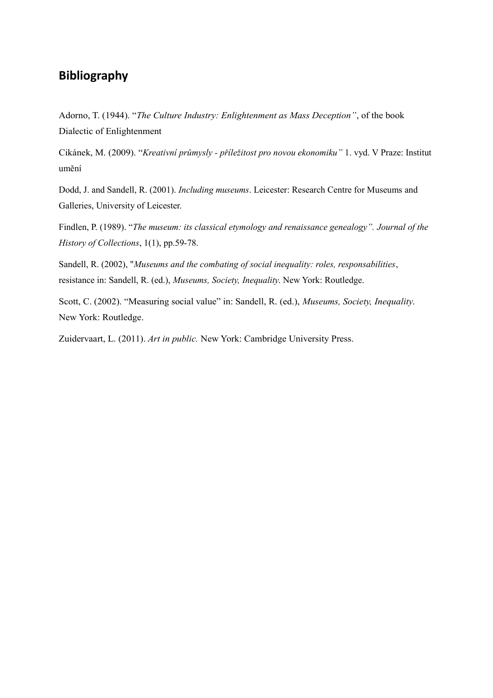## **Bibliography**

Adorno, T. (1944). "*The Culture Industry: Enlightenment as Mass Deception"*, of the book Dialectic of Enlightenment

Cikánek, M. (2009). "*Kreativní průmysly - příležitost pro novou ekonomiku"* 1. vyd. V Praze: Institut umění

Dodd, J. and Sandell, R. (2001). *Including museums*. Leicester: Research Centre for Museums and Galleries, University of Leicester.

Findlen, P. (1989). "*The museum: its classical etymology and renaissance genealogy". Journal of the History of Collections*, 1(1), pp.59-78.

Sandell, R. (2002), "*Museums and the combating of social inequality: roles, responsabilities*, resistance in: Sandell, R. (ed.), *Museums, Society, Inequality*. New York: Routledge.

Scott, C. (2002). "Measuring social value" in: Sandell, R. (ed.), *Museums, Society, Inequality*. New York: Routledge.

Zuidervaart, L. (2011). *Art in public.* New York: Cambridge University Press.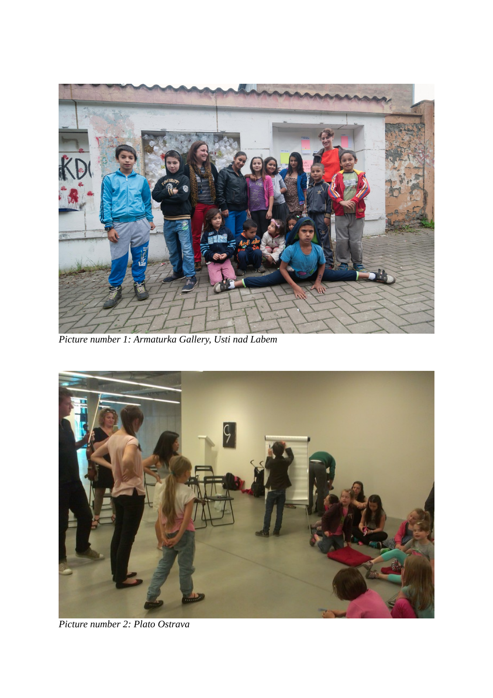

*Picture number 1: Armaturka Gallery, Usti nad Labem*



*Picture number 2: Plato Ostrava*